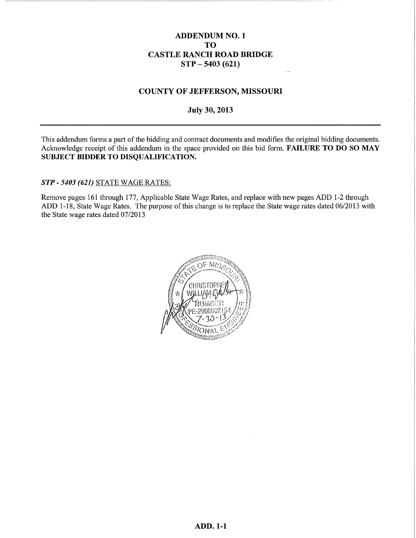#### **ADDENDUM NO. 1 TO CASTLE RANCH ROAD BRIDGE**  $STP - 5403(621)$

#### **COUNTY OF JEFFERSON, MISSOURI**

**July 30, 2013** 

This addendum forms a part of the bidding and contract documents and modifies the original bidding documents. Acknowledge receipt of this addendum in the space provided on this bid form. FAILURE TO DO SO MAY SUBJECT BIDDER TO DISQUALIFICATION.

STP - 5403 (621) STATE WAGE RATES:

Remove pages 161 through 177, Applicable State Wage Rates, and replace with new pages ADD 1-2 through ADD 1-18, State Wage Rates. The purpose of this change is to replace the State wage rates dated 06/2013 with the State wage rates dated 07/2013

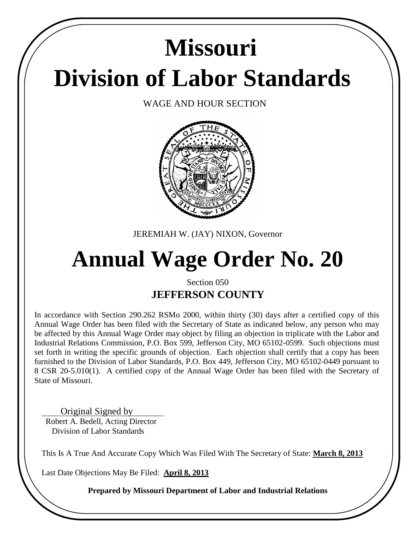# **Division of Labor Standards Missouri**

WAGE AND HOUR SECTION



JEREMIAH W. (JAY) NIXON, Governor

## **Annual Wage Order No. 20**

### Section 050 **JEFFERSON COUNTY**

In accordance with Section 290.262 RSMo 2000, within thirty (30) days after a certified copy of this Annual Wage Order has been filed with the Secretary of State as indicated below, any person who may be affected by this Annual Wage Order may object by filing an objection in triplicate with the Labor and Industrial Relations Commission, P.O. Box 599, Jefferson City, MO 65102-0599. Such objections must set forth in writing the specific grounds of objection. Each objection shall certify that a copy has been furnished to the Division of Labor Standards, P.O. Box 449, Jefferson City, MO 65102-0449 pursuant to 8 CSR 20-5.010(1). A certified copy of the Annual Wage Order has been filed with the Secretary of State of Missouri.

Original Signed by Robert A. Bedell, Acting Director Division of Labor Standards

This Is A True And Accurate Copy Which Was Filed With The Secretary of State: **March 8, 2013**

Last Date Objections May Be Filed: **April 8, 2013**

**Prepared by Missouri Department of Labor and Industrial Relations**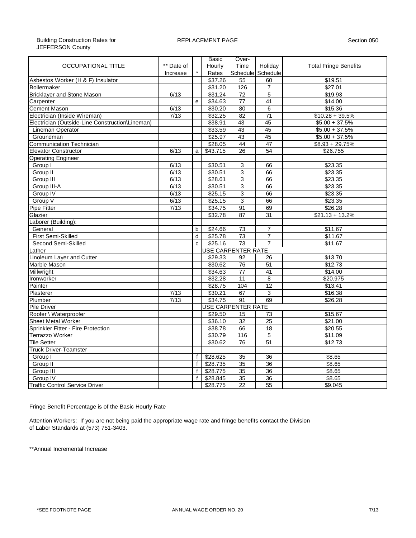|                                                 |            |              | <b>Basic</b> | Over-                     |                   |                              |  |  |  |  |  |
|-------------------------------------------------|------------|--------------|--------------|---------------------------|-------------------|------------------------------|--|--|--|--|--|
| <b>OCCUPATIONAL TITLE</b>                       | ** Date of |              | Hourly       | Time                      | Holiday           | <b>Total Fringe Benefits</b> |  |  |  |  |  |
|                                                 | Increase   |              | Rates        |                           | Schedule Schedule |                              |  |  |  |  |  |
| Asbestos Worker (H & F) Insulator               |            |              | \$37.26      | 55                        | 60                | \$19.51                      |  |  |  |  |  |
| <b>Boilermaker</b>                              |            |              | \$31.20      | 126                       | $\overline{7}$    | \$27.01                      |  |  |  |  |  |
| <b>Bricklayer and Stone Mason</b>               | 6/13       |              | \$31.24      | 72                        | $\overline{5}$    | \$19.93                      |  |  |  |  |  |
| Carpenter                                       |            | e            | \$34.63      | 77                        | 41                | \$14.00                      |  |  |  |  |  |
| <b>Cement Mason</b>                             | 6/13       |              | \$30.20      | 80                        | $\overline{6}$    | \$15.36                      |  |  |  |  |  |
| Electrician (Inside Wireman)                    | 7/13       |              | \$32.25      | $\overline{82}$           | $\overline{71}$   | $$10.28 + 39.5\%$            |  |  |  |  |  |
| Electrician (Outside-Line Construction\Lineman) |            |              | \$38.91      | 43                        | 45                | $$5.00 + 37.5\%$             |  |  |  |  |  |
| <b>Lineman Operator</b>                         |            |              | \$33.59      | 43                        | 45                | $$5.00 + 37.5\%$             |  |  |  |  |  |
| Groundman                                       |            |              | \$25.97      | 43                        | 45                | $$5.00 + 37.5\%$             |  |  |  |  |  |
| <b>Communication Technician</b>                 |            |              | \$28.05      | 44                        | 47                | $$8.93 + 29.75\%$            |  |  |  |  |  |
| <b>Elevator Constructor</b>                     | 6/13       | a            | \$43.715     | 26                        | 54                | \$26.755                     |  |  |  |  |  |
| <b>Operating Engineer</b>                       |            |              |              |                           |                   |                              |  |  |  |  |  |
| Group I                                         | 6/13       |              | \$30.51      | 3                         | 66                | \$23.35                      |  |  |  |  |  |
| Group II                                        | 6/13       |              | \$30.51      | $\overline{3}$            | 66                | \$23.35                      |  |  |  |  |  |
| Group III                                       | 6/13       |              | \$28.61      | $\overline{3}$            | 66                | \$23.35                      |  |  |  |  |  |
| Group III-A                                     | 6/13       |              | \$30.51      | 3                         | 66                | \$23.35                      |  |  |  |  |  |
| Group IV                                        | 6/13       |              | \$25.15      | $\overline{3}$            | 66                | \$23.35                      |  |  |  |  |  |
| Group V                                         | 6/13       |              | \$25.15      | $\overline{3}$            | 66                | \$23.35                      |  |  |  |  |  |
| Pipe Fitter                                     | 7/13       |              | \$34.75      | 91                        | 69                | \$26.28                      |  |  |  |  |  |
| Glazier                                         |            |              | \$32.78      | 87                        | $\overline{31}$   | $$21.13 + 13.2\%$            |  |  |  |  |  |
| Laborer (Building):                             |            |              |              |                           |                   |                              |  |  |  |  |  |
| General                                         |            | b            | \$24.66      | $\overline{73}$           | 7                 | \$11.67                      |  |  |  |  |  |
| First Semi-Skilled                              |            | d            | \$25.78      | 73                        | $\overline{7}$    | \$11.67                      |  |  |  |  |  |
| Second Semi-Skilled                             |            | c            | \$25.16      | 73                        | $\overline{7}$    | \$11.67                      |  |  |  |  |  |
| ather                                           |            |              |              | <b>USE CARPENTER RATE</b> |                   |                              |  |  |  |  |  |
| Linoleum Layer and Cutter                       |            |              | \$29.33      | 92                        | 26                | \$13.70                      |  |  |  |  |  |
| Marble Mason                                    |            |              | \$30.62      | 76                        | 51                | \$12.73                      |  |  |  |  |  |
| Millwright                                      |            |              | \$34.63      | $\overline{77}$           | 41                | \$14.00                      |  |  |  |  |  |
| Ironworker                                      |            |              | \$32.28      | 11                        | 8                 | \$20.975                     |  |  |  |  |  |
| Painter                                         |            |              | \$28.75      | 104                       | 12                | \$13.41                      |  |  |  |  |  |
| Plasterer                                       | 7/13       |              | \$30.21      | 67                        | 3                 | \$16.38                      |  |  |  |  |  |
| Plumber                                         | 7/13       |              | \$34.75      | 91                        | 69                | \$26.28                      |  |  |  |  |  |
| Pile Driver                                     |            |              |              | <b>USE CARPENTER RATE</b> |                   |                              |  |  |  |  |  |
| Roofer \ Waterproofer                           |            |              | \$29.50      | 15                        | 73                | \$15.67                      |  |  |  |  |  |
| <b>Sheet Metal Worker</b>                       |            |              | \$36.10      | $\overline{32}$           | 25                | \$21.00                      |  |  |  |  |  |
| Sprinkler Fitter - Fire Protection              |            |              | \$38.78      | 66                        | 18                | \$20.55                      |  |  |  |  |  |
| Terrazzo Worker                                 |            |              | \$30.79      | 116                       | $\overline{5}$    | \$11.09                      |  |  |  |  |  |
| <b>Tile Setter</b>                              |            |              | \$30.62      | 76                        | 51                | \$12.73                      |  |  |  |  |  |
| <b>Truck Driver-Teamster</b>                    |            |              |              |                           |                   |                              |  |  |  |  |  |
| Group I                                         |            | $\mathsf{f}$ | \$28.625     | 35                        | 36                | \$8.65                       |  |  |  |  |  |
| Group II                                        |            | f            | \$28.735     | $\overline{35}$           | 36                | \$8.65                       |  |  |  |  |  |
| Group III                                       |            | f            | \$28.775     | 35                        | $\overline{36}$   | \$8.65                       |  |  |  |  |  |
| Group IV                                        |            | f            | \$28.845     | 35                        | $\overline{36}$   | \$8.65                       |  |  |  |  |  |
| <b>Traffic Control Service Driver</b>           |            |              | \$28.775     | $\overline{22}$           | 55                | \$9.045                      |  |  |  |  |  |

Fringe Benefit Percentage is of the Basic Hourly Rate

Attention Workers: If you are not being paid the appropriate wage rate and fringe benefits contact the Division of Labor Standards at (573) 751-3403.

\*\*Annual Incremental Increase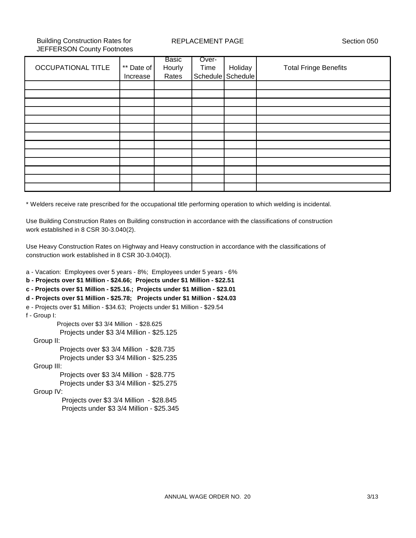Building Construction Rates for JEFFERSON County Footnotes REPLACEMENT PAGE Section 050

|                           |            | Basic  | Over- |                   |                              |
|---------------------------|------------|--------|-------|-------------------|------------------------------|
| <b>OCCUPATIONAL TITLE</b> | ** Date of | Hourly | Time  | Holiday           | <b>Total Fringe Benefits</b> |
|                           | Increase   | Rates  |       | Schedule Schedule |                              |
|                           |            |        |       |                   |                              |
|                           |            |        |       |                   |                              |
|                           |            |        |       |                   |                              |
|                           |            |        |       |                   |                              |
|                           |            |        |       |                   |                              |
|                           |            |        |       |                   |                              |
|                           |            |        |       |                   |                              |
|                           |            |        |       |                   |                              |
|                           |            |        |       |                   |                              |
|                           |            |        |       |                   |                              |
|                           |            |        |       |                   |                              |
|                           |            |        |       |                   |                              |
|                           |            |        |       |                   |                              |
|                           |            |        |       |                   |                              |

\* Welders receive rate prescribed for the occupational title performing operation to which welding is incidental.

Use Building Construction Rates on Building construction in accordance with the classifications of construction work established in 8 CSR 30-3.040(2).

Use Heavy Construction Rates on Highway and Heavy construction in accordance with the classifications of construction work established in 8 CSR 30-3.040(3).

a - Vacation: Employees over 5 years - 8%; Employees under 5 years - 6% **b - Projects over \$1 Million - \$24.66; Projects under \$1 Million - \$22.51 c - Projects over \$1 Million - \$25.16.; Projects under \$1 Million - \$23.01 d - Projects over \$1 Million - \$25.78; Projects under \$1 Million - \$24.03** e - Projects over \$1 Million - \$34.63; Projects under \$1 Million - \$29.54 f - Group I: Projects over \$3 3/4 Million - \$28.625 Projects under \$3 3/4 Million - \$25.125 Group II: Projects over \$3 3/4 Million - \$28.735 Projects under \$3 3/4 Million - \$25.235 Group III: Projects over \$3 3/4 Million - \$28.775 Projects under \$3 3/4 Million - \$25.275 Group IV: Projects over \$3 3/4 Million - \$28.845 Projects under \$3 3/4 Million - \$25.345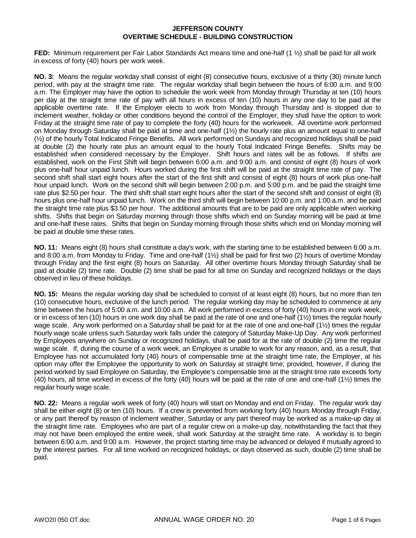**FED:** Minimum requirement per Fair Labor Standards Act means time and one-half (1 ½) shall be paid for all work in excess of forty (40) hours per work week.

**NO. 3:** Means the regular workday shall consist of eight (8) consecutive hours, exclusive of a thirty (30) minute lunch period, with pay at the straight time rate. The regular workday shall begin between the hours of 6:00 a.m. and 9:00 a.m. The Employer may have the option to schedule the work week from Monday through Thursday at ten (10) hours per day at the straight time rate of pay with all hours in excess of ten (10) hours in any one day to be paid at the applicable overtime rate. If the Employer elects to work from Monday through Thursday and is stopped due to inclement weather, holiday or other conditions beyond the control of the Employer, they shall have the option to work Friday at the straight time rate of pay to complete the forty (40) hours for the workweek. All overtime work performed on Monday through Saturday shall be paid at time and one-half (1½) the hourly rate plus an amount equal to one-half (½) of the hourly Total Indicated Fringe Benefits. All work performed on Sundays and recognized holidays shall be paid at double (2) the hourly rate plus an amount equal to the hourly Total Indicated Fringe Benefits. Shifts may be established when considered necessary by the Employer. Shift hours and rates will be as follows. If shifts are established, work on the First Shift will begin between 6:00 a.m. and 9:00 a.m. and consist of eight (8) hours of work plus one-half hour unpaid lunch. Hours worked during the first shift will be paid at the straight time rate of pay. The second shift shall start eight hours after the start of the first shift and consist of eight (8) hours of work plus one-half hour unpaid lunch. Work on the second shift will begin between 2:00 p.m. and 5:00 p.m. and be paid the straight time rate plus \$2.50 per hour. The third shift shall start eight hours after the start of the second shift and consist of eight (8) hours plus one-half hour unpaid lunch. Work on the third shift will begin between 10:00 p.m. and 1:00 a.m. and be paid the straight time rate plus \$3.50 per hour. The additional amounts that are to be paid are only applicable when working shifts. Shifts that begin on Saturday morning through those shifts which end on Sunday morning will be paid at time and one-half these rates. Shifts that begin on Sunday morning through those shifts which end on Monday morning will be paid at double time these rates.

**NO. 11:** Means eight (8) hours shall constitute a day's work, with the starting time to be established between 6:00 a.m. and 8:00 a.m. from Monday to Friday. Time and one-half (1½) shall be paid for first two (2) hours of overtime Monday through Friday and the first eight (8) hours on Saturday. All other overtime hours Monday through Saturday shall be paid at double (2) time rate. Double (2) time shall be paid for all time on Sunday and recognized holidays or the days observed in lieu of these holidays.

**NO. 15:** Means the regular working day shall be scheduled to consist of at least eight (8) hours, but no more than ten (10) consecutive hours, exclusive of the lunch period. The regular working day may be scheduled to commence at any time between the hours of 5:00 a.m. and 10:00 a.m. All work performed in excess of forty (40) hours in one work week, or in excess of ten (10) hours in one work day shall be paid at the rate of one and one-half  $(1/2)$  times the regular hourly wage scale. Any work performed on a Saturday shall be paid for at the rate of one and one-half (1½) times the regular hourly wage scale unless such Saturday work falls under the category of Saturday Make-Up Day. Any work performed by Employees anywhere on Sunday or recognized holidays, shall be paid for at the rate of double (2) time the regular wage scale. If, during the course of a work week, an Employee is unable to work for any reason, and, as a result, that Employee has not accumulated forty (40) hours of compensable time at the straight time rate, the Employer, at his option may offer the Employee the opportunity to work on Saturday at straight time; provided, however, if during the period worked by said Employee on Saturday, the Employee's compensable time at the straight time rate exceeds forty (40) hours, all time worked in excess of the forty (40) hours will be paid at the rate of one and one-half (1½) times the regular hourly wage scale.

**NO. 22:** Means a regular work week of forty (40) hours will start on Monday and end on Friday. The regular work day shall be either eight (8) or ten (10) hours. If a crew is prevented from working forty (40) hours Monday through Friday, or any part thereof by reason of inclement weather, Saturday or any part thereof may be worked as a make-up day at the straight time rate. Employees who are part of a regular crew on a make-up day, notwithstanding the fact that they may not have been employed the entire week, shall work Saturday at the straight time rate. A workday is to begin between 6:00 a.m. and 9:00 a.m. However, the project starting time may be advanced or delayed if mutually agreed to by the interest parties. For all time worked on recognized holidays, or days observed as such, double (2) time shall be paid.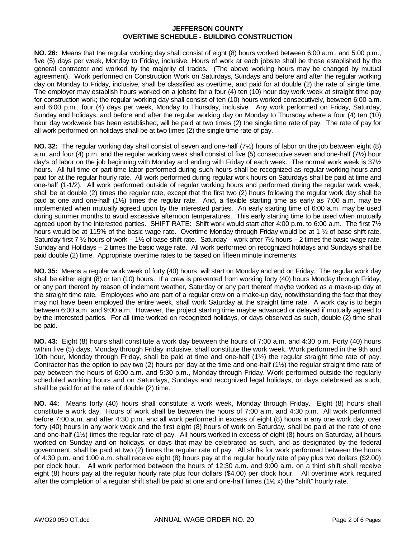**NO. 26:** Means that the regular working day shall consist of eight (8) hours worked between 6:00 a.m., and 5:00 p.m., five (5) days per week, Monday to Friday, inclusive. Hours of work at each jobsite shall be those established by the general contractor and worked by the majority of trades. (The above working hours may be changed by mutual agreement). Work performed on Construction Work on Saturdays, Sundays and before and after the regular working day on Monday to Friday, inclusive, shall be classified as overtime, and paid for at double (2) the rate of single time. The employer may establish hours worked on a jobsite for a four (4) ten (10) hour day work week at straight time pay for construction work; the regular working day shall consist of ten (10) hours worked consecutively, between 6:00 a.m. and 6:00 p.m., four (4) days per week, Monday to Thursday, inclusive. Any work performed on Friday, Saturday, Sunday and holidays, and before and after the regular working day on Monday to Thursday where a four (4) ten (10) hour day workweek has been established, will be paid at two times (2) the single time rate of pay. The rate of pay for all work performed on holidays shall be at two times (2) the single time rate of pay.

**NO. 32:** The regular working day shall consist of seven and one-half (7½) hours of labor on the job between eight (8) a.m. and four (4) p.m. and the regular working week shall consist of five (5) consecutive seven and one-half (7½) hour day's of labor on the job beginning with Monday and ending with Friday of each week. The normal work week is 37½ hours. All full-time or part-time labor performed during such hours shall be recognized as regular working hours and paid for at the regular hourly rate. All work performed during regular work hours on Saturdays shall be paid at time and one-half (1-1/2). All work performed outside of regular working hours and performed during the regular work week, shall be at double (2) times the regular rate, except that the first two (2) hours following the regular work day shall be paid at one and one-half (1½) times the regular rate. And, a flexible starting time as early as 7:00 a.m. may be implemented when mutually agreed upon by the interested parties. An early starting time of 6:00 a.m. may be used during summer months to avoid excessive afternoon temperatures. This early starting time to be used when mutually agreed upon by the interested parties. SHIFT RATE: Shift work would start after 4:00 p.m. to 6:00 a.m. The first 7½ hours would be at 115% of the basic wage rate. Overtime Monday through Friday would be at 1 ½ of base shift rate. Saturday first 7  $\frac{1}{2}$  hours of work – 1 $\frac{1}{2}$  of base shift rate. Saturday – work after 7 $\frac{1}{2}$  hours – 2 times the basic wage rate. Sunday and Holidays – 2 times the basic wage rate. All work performed on recognized holidays and Sunday**s** shall be paid double (2) time. Appropriate overtime rates to be based on fifteen minute increments.

**NO. 35:** Means a regular work week of forty (40) hours, will start on Monday and end on Friday. The regular work day shall be either eight (8) or ten (10) hours. If a crew is prevented from working forty (40) hours Monday through Friday, or any part thereof by reason of inclement weather, Saturday or any part thereof maybe worked as a make-up day at the straight time rate. Employees who are part of a regular crew on a make-up day, notwithstanding the fact that they may not have been employed the entire week, shall work Saturday at the straight time rate. A work day is to begin between 6:00 a.m. and 9:00 a.m. However, the project starting time maybe advanced or delayed if mutually agreed to by the interested parties. For all time worked on recognized holidays, or days observed as such, double (2) time shall be paid.

**NO. 43:** Eight (8) hours shall constitute a work day between the hours of 7:00 a.m. and 4:30 p.m. Forty (40) hours within five (5) days, Monday through Friday inclusive, shall constitute the work week. Work performed in the 9th and 10th hour, Monday through Friday, shall be paid at time and one-half (1½) the regular straight time rate of pay. Contractor has the option to pay two (2) hours per day at the time and one-half  $(1\frac{1}{2})$  the regular straight time rate of pay between the hours of 6:00 a.m. and 5:30 p.m., Monday through Friday. Work performed outside the regularly scheduled working hours and on Saturdays, Sundays and recognized legal holidays, or days celebrated as such, shall be paid for at the rate of double (2) time.

**NO. 44:** Means forty (40) hours shall constitute a work week, Monday through Friday. Eight (8) hours shall constitute a work day. Hours of work shall be between the hours of 7:00 a.m. and 4:30 p.m. All work performed before 7:00 a.m. and after 4:30 p.m. and all work performed in excess of eight (8) hours in any one work day, over forty (40) hours in any work week and the first eight (8) hours of work on Saturday, shall be paid at the rate of one and one-half (1½) times the regular rate of pay. All hours worked in excess of eight (8) hours on Saturday, all hours worked on Sunday and on holidays, or days that may be celebrated as such, and as designated by the federal government, shall be paid at two (2) times the regular rate of pay. All shifts for work performed between the hours of 4:30 p.m. and 1:00 a.m. shall receive eight (8) hours pay at the regular hourly rate of pay plus two dollars (\$2.00) per clock hour. All work performed between the hours of 12:30 a.m. and 9:00 a.m. on a third shift shall receive eight (8) hours pay at the regular hourly rate plus four dollars (\$4.00) per clock hour. All overtime work required after the completion of a regular shift shall be paid at one and one-half times  $(1\frac{1}{2}x)$  the "shift" hourly rate.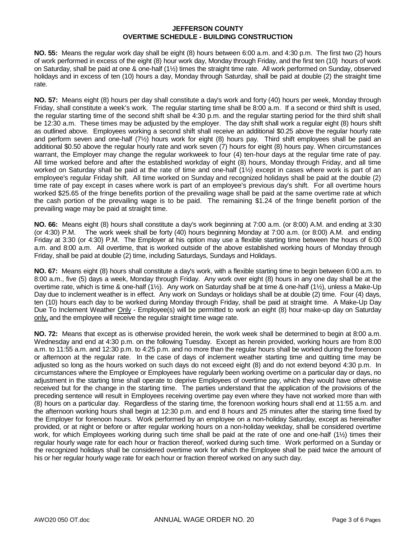**NO. 55:** Means the regular work day shall be eight (8) hours between 6:00 a.m. and 4:30 p.m. The first two (2) hours of work performed in excess of the eight (8) hour work day, Monday through Friday, and the first ten (10) hours of work on Saturday, shall be paid at one & one-half (1½) times the straight time rate. All work performed on Sunday, observed holidays and in excess of ten (10) hours a day, Monday through Saturday, shall be paid at double (2) the straight time rate.

**NO. 57:** Means eight (8) hours per day shall constitute a day's work and forty (40) hours per week, Monday through Friday, shall constitute a week's work. The regular starting time shall be 8:00 a.m. If a second or third shift is used, the regular starting time of the second shift shall be 4:30 p.m. and the regular starting period for the third shift shall be 12:30 a.m. These times may be adjusted by the employer. The day shift shall work a regular eight (8) hours shift as outlined above. Employees working a second shift shall receive an additional \$0.25 above the regular hourly rate and perform seven and one-half (7½) hours work for eight (8) hours pay. Third shift employees shall be paid an additional \$0.50 above the regular hourly rate and work seven (7) hours for eight (8) hours pay. When circumstances warrant, the Employer may change the regular workweek to four (4) ten-hour days at the regular time rate of pay. All time worked before and after the established workday of eight (8) hours, Monday through Friday, and all time worked on Saturday shall be paid at the rate of time and one-half (1½) except in cases where work is part of an employee's regular Friday shift. All time worked on Sunday and recognized holidays shall be paid at the double (2) time rate of pay except in cases where work is part of an employee's previous day's shift. For all overtime hours worked \$25.65 of the fringe benefits portion of the prevailing wage shall be paid at the same overtime rate at which the cash portion of the prevailing wage is to be paid. The remaining \$1.24 of the fringe benefit portion of the prevailing wage may be paid at straight time.

**NO. 66:** Means eight (8) hours shall constitute a day's work beginning at 7:00 a.m. (or 8:00) A.M. and ending at 3:30 (or 4:30) P.M. The work week shall be forty (40) hours beginning Monday at 7:00 a.m. (or 8:00) A.M. and ending Friday at 3:30 (or 4:30) P.M. The Employer at his option may use a flexible starting time between the hours of 6:00 a.m. and 8:00 a.m. All overtime, that is worked outside of the above established working hours of Monday through Friday, shall be paid at double (2) time, including Saturdays, Sundays and Holidays.

**NO. 67:** Means eight (8) hours shall constitute a day's work, with a flexible starting time to begin between 6:00 a.m. to 8:00 a.m., five (5) days a week, Monday through Friday. Any work over eight (8) hours in any one day shall be at the overtime rate, which is time & one-half (1½). Any work on Saturday shall be at time & one-half (1½), unless a Make-Up Day due to inclement weather is in effect. Any work on Sundays or holidays shall be at double (2) time. Four (4) days, ten (10) hours each day to be worked during Monday through Friday, shall be paid at straight time. A Make-Up Day Due To Inclement Weather Only - Employee(s) will be permitted to work an eight (8) hour make-up day on Saturday only, and the employee will receive the regular straight time wage rate.

**NO. 72:** Means that except as is otherwise provided herein, the work week shall be determined to begin at 8:00 a.m. Wednesday and end at 4:30 p.m. on the following Tuesday. Except as herein provided, working hours are from 8:00 a.m. to 11:55 a.m. and 12:30 p.m. to 4:25 p.m. and no more than the regular hours shall be worked during the forenoon or afternoon at the regular rate. In the case of days of inclement weather starting time and quitting time may be adjusted so long as the hours worked on such days do not exceed eight (8) and do not extend beyond 4:30 p.m. In circumstances where the Employee or Employees have regularly been working overtime on a particular day or days, no adjustment in the starting time shall operate to deprive Employees of overtime pay, which they would have otherwise received but for the change in the starting time. The parties understand that the application of the provisions of the preceding sentence will result in Employees receiving overtime pay even where they have not worked more than with (8) hours on a particular day. Regardless of the staring time, the forenoon working hours shall end at 11:55 a.m. and the afternoon working hours shall begin at 12:30 p.m. and end 8 hours and 25 minutes after the staring time fixed by the Employer for forenoon hours. Work performed by an employee on a non-holiday Saturday, except as hereinafter provided, or at night or before or after regular working hours on a non-holiday weekday, shall be considered overtime work, for which Employees working during such time shall be paid at the rate of one and one-half (1½) times their regular hourly wage rate for each hour or fraction thereof, worked during such time. Work performed on a Sunday or the recognized holidays shall be considered overtime work for which the Employee shall be paid twice the amount of his or her regular hourly wage rate for each hour or fraction thereof worked on any such day.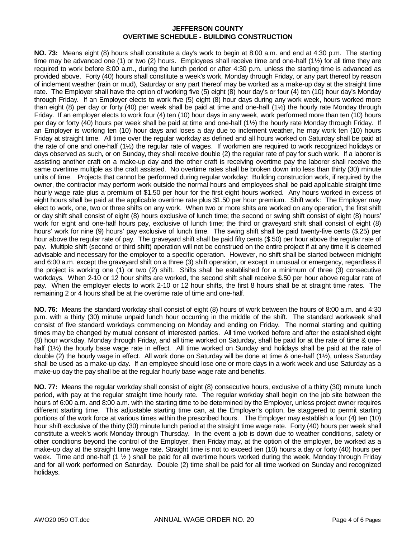**NO. 73:** Means eight (8) hours shall constitute a day's work to begin at 8:00 a.m. and end at 4:30 p.m. The starting time may be advanced one (1) or two (2) hours. Employees shall receive time and one-half (1½) for all time they are required to work before 8:00 a.m., during the lunch period or after 4:30 p.m. unless the starting time is advanced as provided above. Forty (40) hours shall constitute a week's work, Monday through Friday, or any part thereof by reason of inclement weather (rain or mud), Saturday or any part thereof may be worked as a make-up day at the straight time rate. The Employer shall have the option of working five (5) eight (8) hour day's or four (4) ten (10) hour day's Monday through Friday. If an Employer elects to work five (5) eight (8) hour days during any work week, hours worked more than eight (8) per day or forty (40) per week shall be paid at time and one-half (1½) the hourly rate Monday through Friday. If an employer elects to work four (4) ten (10) hour days in any week, work performed more than ten (10) hours per day or forty (40) hours per week shall be paid at time and one-half (1½) the hourly rate Monday through Friday. If an Employer is working ten (10) hour days and loses a day due to inclement weather, he may work ten (10) hours Friday at straight time. All time over the regular workday as defined and all hours worked on Saturday shall be paid at the rate of one and one-half (1½) the regular rate of wages. If workmen are required to work recognized holidays or days observed as such, or on Sunday, they shall receive double (2) the regular rate of pay for such work. If a laborer is assisting another craft on a make-up day and the other craft is receiving overtime pay the laborer shall receive the same overtime multiple as the craft assisted. No overtime rates shall be broken down into less than thirty (30) minute units of time. Projects that cannot be performed during regular workday: Building construction work, if required by the owner, the contractor may perform work outside the normal hours and employees shall be paid applicable straight time hourly wage rate plus a premium of \$1.50 per hour for the first eight hours worked. Any hours worked in excess of eight hours shall be paid at the applicable overtime rate plus \$1.50 per hour premium. Shift work: The Employer may elect to work, one, two or three shifts on any work. When two or more shits are worked on any operation, the first shift or day shift shall consist of eight (8) hours exclusive of lunch time; the second or swing shift consist of eight (8) hours' work for eight and one-half hours pay, exclusive of lunch time; the third or graveyard shift shall consist of eight (8) hours' work for nine (9) hours' pay exclusive of lunch time. The swing shift shall be paid twenty-five cents (\$.25) per hour above the regular rate of pay. The graveyard shift shall be paid fifty cents (\$.50) per hour above the regular rate of pay. Multiple shift (second or third shift) operation will not be construed on the entire project if at any time it is deemed advisable and necessary for the employer to a specific operation. However, no shift shall be started between midnight and 6:00 a.m. except the graveyard shift on a three (3) shift operation, or except in unusual or emergency, regardless if the project is working one (1) or two (2) shift. Shifts shall be established for a minimum of three (3) consecutive workdays. When 2-10 or 12 hour shifts are worked, the second shift shall receive \$.50 per hour above regular rate of pay. When the employer elects to work 2-10 or 12 hour shifts, the first 8 hours shall be at straight time rates. The remaining 2 or 4 hours shall be at the overtime rate of time and one-half.

**NO. 76:** Means the standard workday shall consist of eight (8) hours of work between the hours of 8:00 a.m. and 4:30 p.m. with a thirty (30) minute unpaid lunch hour occurring in the middle of the shift. The standard workweek shall consist of five standard workdays commencing on Monday and ending on Friday. The normal starting and quitting times may be changed by mutual consent of interested parties. All time worked before and after the established eight (8) hour workday, Monday through Friday, and all time worked on Saturday, shall be paid for at the rate of time & onehalf (1<sup>1</sup>/<sub>2</sub>) the hourly base wage rate in effect. All time worked on Sunday and holidays shall be paid at the rate of double (2) the hourly wage in effect. All work done on Saturday will be done at time & one-half (1½), unless Saturday shall be used as a make-up day. If an employee should lose one or more days in a work week and use Saturday as a make-up day the pay shall be at the regular hourly base wage rate and benefits.

**NO. 77:** Means the regular workday shall consist of eight (8) consecutive hours, exclusive of a thirty (30) minute lunch period, with pay at the regular straight time hourly rate. The regular workday shall begin on the job site between the hours of 6:00 a.m. and 8:00 a.m. with the starting time to be determined by the Employer, unless project owner requires different starting time. This adjustable starting time can, at the Employer's option, be staggered to permit starting portions of the work force at various times within the prescribed hours. The Employer may establish a four (4) ten (10) hour shift exclusive of the thirty (30) minute lunch period at the straight time wage rate. Forty (40) hours per week shall constitute a week's work Monday through Thursday. In the event a job is down due to weather conditions, safety or other conditions beyond the control of the Employer, then Friday may, at the option of the employer, be worked as a make-up day at the straight time wage rate. Straight time is not to exceed ten (10) hours a day or forty (40) hours per week. Time and one-half  $(1 \frac{1}{2})$  shall be paid for all overtime hours worked during the week, Monday through Friday and for all work performed on Saturday. Double (2) time shall be paid for all time worked on Sunday and recognized holidays.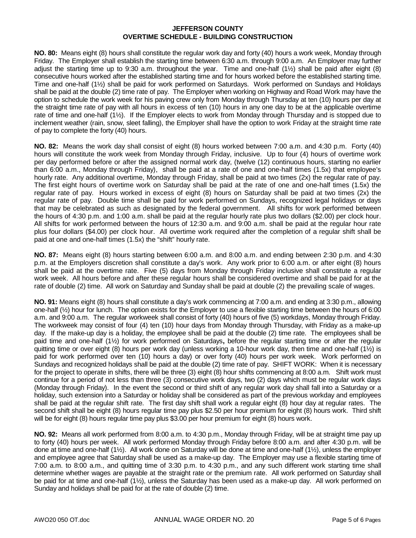**NO. 80:** Means eight (8) hours shall constitute the regular work day and forty (40) hours a work week, Monday through Friday. The Employer shall establish the starting time between 6:30 a.m. through 9:00 a.m. An Employer may further adjust the starting time up to 9:30 a.m. throughout the year. Time and one-half (1½) shall be paid after eight (8) consecutive hours worked after the established starting time and for hours worked before the established starting time. Time and one-half (1½) shall be paid for work performed on Saturdays. Work performed on Sundays and Holidays shall be paid at the double (2) time rate of pay. The Employer when working on Highway and Road Work may have the option to schedule the work week for his paving crew only from Monday through Thursday at ten (10) hours per day at the straight time rate of pay with all hours in excess of ten (10) hours in any one day to be at the applicable overtime rate of time and one-half (1½). If the Employer elects to work from Monday through Thursday and is stopped due to inclement weather (rain, snow, sleet falling), the Employer shall have the option to work Friday at the straight time rate of pay to complete the forty (40) hours.

**NO. 82:** Means the work day shall consist of eight (8) hours worked between 7:00 a.m. and 4:30 p.m. Forty (40) hours will constitute the work week from Monday through Friday, inclusive. Up to four (4) hours of overtime work per day performed before or after the assigned normal work day, (twelve (12) continuous hours, starting no earlier than 6:00 a.m., Monday through Friday), shall be paid at a rate of one and one-half times (1.5x) that employee's hourly rate. Any additional overtime, Monday through Friday, shall be paid at two times (2x) the regular rate of pay. The first eight hours of overtime work on Saturday shall be paid at the rate of one and one-half times (1.5x) the regular rate of pay. Hours worked in excess of eight (8) hours on Saturday shall be paid at two times (2x) the regular rate of pay. Double time shall be paid for work performed on Sundays, recognized legal holidays or days that may be celebrated as such as designated by the federal government. All shifts for work performed between the hours of 4:30 p.m. and 1:00 a.m. shall be paid at the regular hourly rate plus two dollars (\$2.00) per clock hour. All shifts for work performed between the hours of 12:30 a.m. and 9:00 a.m. shall be paid at the regular hour rate plus four dollars (\$4.00) per clock hour. All overtime work required after the completion of a regular shift shall be paid at one and one-half times (1.5x) the "shift" hourly rate.

**NO. 87:** Means eight (8) hours starting between 6:00 a.m. and 8:00 a.m. and ending between 2:30 p.m. and 4:30 p.m. at the Employers discretion shall constitute a day's work. Any work prior to 6:00 a.m. or after eight (8) hours shall be paid at the overtime rate. Five (5) days from Monday through Friday inclusive shall constitute a regular work week. All hours before and after these regular hours shall be considered overtime and shall be paid for at the rate of double (2) time. All work on Saturday and Sunday shall be paid at double (2) the prevailing scale of wages.

**NO. 91:** Means eight (8) hours shall constitute a day's work commencing at 7:00 a.m. and ending at 3:30 p.m., allowing one-half (½) hour for lunch. The option exists for the Employer to use a flexible starting time between the hours of 6:00 a.m. and 9:00 a.m. The regular workweek shall consist of forty (40) hours of five (5) workdays, Monday through Friday. The workweek may consist of four (4) ten (10) hour days from Monday through Thursday, with Friday as a make-up day. If the make-up day is a holiday, the employee shall be paid at the double (2) time rate. The employees shall be paid time and one-half (1½) for work performed on Saturdays**,** before the regular starting time or after the regular quitting time or over eight (8) hours per work day (unless working a 10-hour work day, then time and one-half (1½) is paid for work performed over ten (10) hours a day) or over forty (40) hours per work week. Work performed on Sundays and recognized holidays shall be paid at the double (2) time rate of pay. SHIFT WORK: When it is necessary for the project to operate in shifts, there will be three (3) eight (8) hour shifts commencing at 8:00 a.m. Shift work must continue for a period of not less than three (3) consecutive work days, two (2) days which must be regular work days (Monday through Friday). In the event the second or third shift of any regular work day shall fall into a Saturday or a holiday, such extension into a Saturday or holiday shall be considered as part of the previous workday and employees shall be paid at the regular shift rate. The first day shift shall work a regular eight (8) hour day at regular rates. The second shift shall be eight (8) hours regular time pay plus \$2.50 per hour premium for eight (8) hours work. Third shift will be for eight (8) hours regular time pay plus \$3.00 per hour premium for eight (8) hours work.

**NO. 92:** Means all work performed from 8:00 a.m. to 4:30 p.m., Monday through Friday, will be at straight time pay up to forty (40) hours per week. All work performed Monday through Friday before 8:00 a.m. and after 4:30 p.m. will be done at time and one-half (1½). All work done on Saturday will be done at time and one-half (1½), unless the employer and employee agree that Saturday shall be used as a make-up day. The Employer may use a flexible starting time of 7:00 a.m. to 8:00 a.m., and quitting time of 3:30 p.m. to 4:30 p.m., and any such different work starting time shall determine whether wages are payable at the straight rate or the premium rate. All work performed on Saturday shall be paid for at time and one-half (1½), unless the Saturday has been used as a make-up day. All work performed on Sunday and holidays shall be paid for at the rate of double (2) time.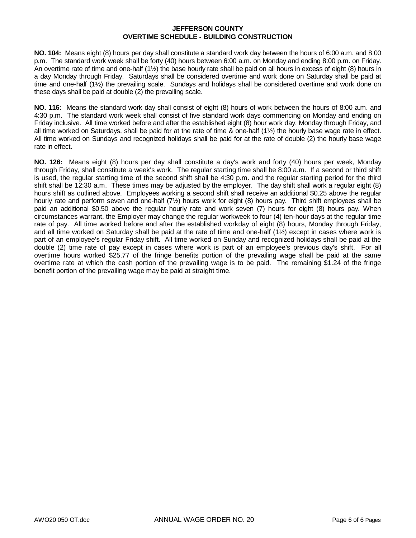**NO. 104:** Means eight (8) hours per day shall constitute a standard work day between the hours of 6:00 a.m. and 8:00 p.m. The standard work week shall be forty (40) hours between 6:00 a.m. on Monday and ending 8:00 p.m. on Friday. An overtime rate of time and one-half (1½) the base hourly rate shall be paid on all hours in excess of eight (8) hours in a day Monday through Friday. Saturdays shall be considered overtime and work done on Saturday shall be paid at time and one-half (1½) the prevailing scale. Sundays and holidays shall be considered overtime and work done on these days shall be paid at double (2) the prevailing scale.

**NO. 116:** Means the standard work day shall consist of eight (8) hours of work between the hours of 8:00 a.m. and 4:30 p.m. The standard work week shall consist of five standard work days commencing on Monday and ending on Friday inclusive. All time worked before and after the established eight (8) hour work day, Monday through Friday, and all time worked on Saturdays, shall be paid for at the rate of time & one-half (1½) the hourly base wage rate in effect. All time worked on Sundays and recognized holidays shall be paid for at the rate of double (2) the hourly base wage rate in effect.

**NO. 126:** Means eight (8) hours per day shall constitute a day's work and forty (40) hours per week, Monday through Friday, shall constitute a week's work. The regular starting time shall be 8:00 a.m. If a second or third shift is used, the regular starting time of the second shift shall be 4:30 p.m. and the regular starting period for the third shift shall be 12:30 a.m. These times may be adjusted by the employer. The day shift shall work a regular eight (8) hours shift as outlined above. Employees working a second shift shall receive an additional \$0.25 above the regular hourly rate and perform seven and one-half (7½) hours work for eight (8) hours pay. Third shift employees shall be paid an additional \$0.50 above the regular hourly rate and work seven (7) hours for eight (8) hours pay. When circumstances warrant, the Employer may change the regular workweek to four (4) ten-hour days at the regular time rate of pay. All time worked before and after the established workday of eight (8) hours, Monday through Friday, and all time worked on Saturday shall be paid at the rate of time and one-half (1½) except in cases where work is part of an employee's regular Friday shift. All time worked on Sunday and recognized holidays shall be paid at the double (2) time rate of pay except in cases where work is part of an employee's previous day's shift. For all overtime hours worked \$25.77 of the fringe benefits portion of the prevailing wage shall be paid at the same overtime rate at which the cash portion of the prevailing wage is to be paid. The remaining \$1.24 of the fringe benefit portion of the prevailing wage may be paid at straight time.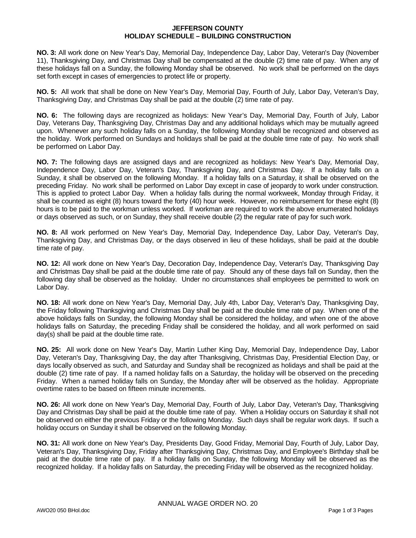#### **JEFFERSON COUNTY HOLIDAY SCHEDULE – BUILDING CONSTRUCTION**

**NO. 3:** All work done on New Year's Day, Memorial Day, Independence Day, Labor Day, Veteran's Day (November 11), Thanksgiving Day, and Christmas Day shall be compensated at the double (2) time rate of pay. When any of these holidays fall on a Sunday, the following Monday shall be observed. No work shall be performed on the days set forth except in cases of emergencies to protect life or property.

**NO. 5:** All work that shall be done on New Year's Day, Memorial Day, Fourth of July, Labor Day, Veteran's Day, Thanksgiving Day, and Christmas Day shall be paid at the double (2) time rate of pay.

**NO. 6:** The following days are recognized as holidays: New Year's Day, Memorial Day, Fourth of July, Labor Day, Veterans Day, Thanksgiving Day, Christmas Day and any additional holidays which may be mutually agreed upon. Whenever any such holiday falls on a Sunday, the following Monday shall be recognized and observed as the holiday. Work performed on Sundays and holidays shall be paid at the double time rate of pay. No work shall be performed on Labor Day.

**NO. 7:** The following days are assigned days and are recognized as holidays: New Year's Day, Memorial Day, Independence Day, Labor Day, Veteran's Day, Thanksgiving Day, and Christmas Day. If a holiday falls on a Sunday, it shall be observed on the following Monday. If a holiday falls on a Saturday, it shall be observed on the preceding Friday. No work shall be performed on Labor Day except in case of jeopardy to work under construction. This is applied to protect Labor Day. When a holiday falls during the normal workweek, Monday through Friday, it shall be counted as eight (8) hours toward the forty (40) hour week. However, no reimbursement for these eight (8) hours is to be paid to the workman unless worked. If workman are required to work the above enumerated holidays or days observed as such, or on Sunday, they shall receive double (2) the regular rate of pay for such work.

**NO. 8:** All work performed on New Year's Day, Memorial Day, Independence Day, Labor Day, Veteran's Day, Thanksgiving Day, and Christmas Day, or the days observed in lieu of these holidays, shall be paid at the double time rate of pay.

**NO. 12:** All work done on New Year's Day, Decoration Day, Independence Day, Veteran's Day, Thanksgiving Day and Christmas Day shall be paid at the double time rate of pay. Should any of these days fall on Sunday, then the following day shall be observed as the holiday. Under no circumstances shall employees be permitted to work on Labor Day.

**NO. 18:** All work done on New Year's Day, Memorial Day, July 4th, Labor Day, Veteran's Day, Thanksgiving Day, the Friday following Thanksgiving and Christmas Day shall be paid at the double time rate of pay. When one of the above holidays falls on Sunday, the following Monday shall be considered the holiday, and when one of the above holidays falls on Saturday, the preceding Friday shall be considered the holiday, and all work performed on said day(s) shall be paid at the double time rate.

**NO. 25:** All work done on New Year's Day, Martin Luther King Day, Memorial Day, Independence Day, Labor Day, Veteran's Day, Thanksgiving Day, the day after Thanksgiving, Christmas Day, Presidential Election Day, or days locally observed as such, and Saturday and Sunday shall be recognized as holidays and shall be paid at the double (2) time rate of pay. If a named holiday falls on a Saturday, the holiday will be observed on the preceding Friday. When a named holiday falls on Sunday, the Monday after will be observed as the holiday. Appropriate overtime rates to be based on fifteen minute increments.

**NO. 26:** All work done on New Year's Day, Memorial Day, Fourth of July, Labor Day, Veteran's Day, Thanksgiving Day and Christmas Day shall be paid at the double time rate of pay. When a Holiday occurs on Saturday it shall not be observed on either the previous Friday or the following Monday. Such days shall be regular work days. If such a holiday occurs on Sunday it shall be observed on the following Monday.

**NO. 31:** All work done on New Year's Day, Presidents Day, Good Friday, Memorial Day, Fourth of July, Labor Day, Veteran's Day, Thanksgiving Day, Friday after Thanksgiving Day, Christmas Day, and Employee's Birthday shall be paid at the double time rate of pay. If a holiday falls on Sunday, the following Monday will be observed as the recognized holiday. If a holiday falls on Saturday, the preceding Friday will be observed as the recognized holiday.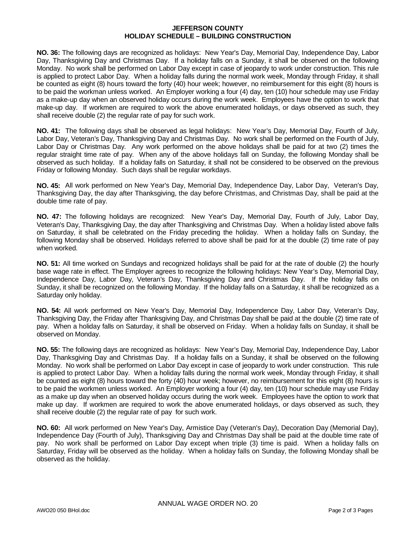#### **JEFFERSON COUNTY HOLIDAY SCHEDULE – BUILDING CONSTRUCTION**

**NO. 36:** The following days are recognized as holidays: New Year's Day, Memorial Day, Independence Day, Labor Day, Thanksgiving Day and Christmas Day. If a holiday falls on a Sunday, it shall be observed on the following Monday. No work shall be performed on Labor Day except in case of jeopardy to work under construction. This rule is applied to protect Labor Day. When a holiday falls during the normal work week, Monday through Friday, it shall be counted as eight (8) hours toward the forty (40) hour week; however, no reimbursement for this eight (8) hours is to be paid the workman unless worked. An Employer working a four (4) day, ten (10) hour schedule may use Friday as a make-up day when an observed holiday occurs during the work week. Employees have the option to work that make-up day. If workmen are required to work the above enumerated holidays, or days observed as such, they shall receive double (2) the regular rate of pay for such work.

**NO. 41:** The following days shall be observed as legal holidays: New Year's Day, Memorial Day, Fourth of July, Labor Day, Veteran's Day, Thanksgiving Day and Christmas Day. No work shall be performed on the Fourth of July, Labor Day or Christmas Day. Any work performed on the above holidays shall be paid for at two (2) times the regular straight time rate of pay. When any of the above holidays fall on Sunday, the following Monday shall be observed as such holiday. If a holiday falls on Saturday, it shall not be considered to be observed on the previous Friday or following Monday. Such days shall be regular workdays.

**NO. 45:** All work performed on New Year's Day, Memorial Day, Independence Day, Labor Day, Veteran's Day, Thanksgiving Day, the day after Thanksgiving, the day before Christmas, and Christmas Day, shall be paid at the double time rate of pay.

**NO. 47:** The following holidays are recognized: New Year's Day, Memorial Day, Fourth of July, Labor Day, Veteran's Day, Thanksgiving Day, the day after Thanksgiving and Christmas Day. When a holiday listed above falls on Saturday, it shall be celebrated on the Friday preceding the holiday. When a holiday falls on Sunday, the following Monday shall be observed. Holidays referred to above shall be paid for at the double (2) time rate of pay when worked.

**NO. 51:** All time worked on Sundays and recognized holidays shall be paid for at the rate of double (2) the hourly base wage rate in effect. The Employer agrees to recognize the following holidays: New Year's Day, Memorial Day, Independence Day, Labor Day, Veteran's Day, Thanksgiving Day and Christmas Day. If the holiday falls on Sunday, it shall be recognized on the following Monday. If the holiday falls on a Saturday, it shall be recognized as a Saturday only holiday.

**NO. 54:** All work performed on New Year's Day, Memorial Day, Independence Day, Labor Day, Veteran's Day, Thanksgiving Day, the Friday after Thanksgiving Day, and Christmas Day shall be paid at the double (2) time rate of pay. When a holiday falls on Saturday, it shall be observed on Friday. When a holiday falls on Sunday, it shall be observed on Monday.

**NO. 55:** The following days are recognized as holidays: New Year's Day, Memorial Day, Independence Day, Labor Day, Thanksgiving Day and Christmas Day. If a holiday falls on a Sunday, it shall be observed on the following Monday. No work shall be performed on Labor Day except in case of jeopardy to work under construction. This rule is applied to protect Labor Day. When a holiday falls during the normal work week, Monday through Friday, it shall be counted as eight (8) hours toward the forty (40) hour week; however, no reimbursement for this eight (8) hours is to be paid the workmen unless worked. An Employer working a four (4) day, ten (10) hour schedule may use Friday as a make up day when an observed holiday occurs during the work week. Employees have the option to work that make up day. If workmen are required to work the above enumerated holidays, or days observed as such, they shall receive double (2) the regular rate of pay for such work.

**NO. 60:** All work performed on New Year's Day, Armistice Day (Veteran's Day), Decoration Day (Memorial Day), Independence Day (Fourth of July), Thanksgiving Day and Christmas Day shall be paid at the double time rate of pay. No work shall be performed on Labor Day except when triple (3) time is paid. When a holiday falls on Saturday, Friday will be observed as the holiday. When a holiday falls on Sunday, the following Monday shall be observed as the holiday.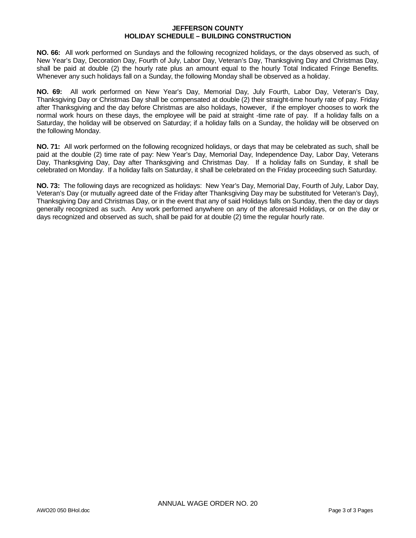#### **JEFFERSON COUNTY HOLIDAY SCHEDULE – BUILDING CONSTRUCTION**

**NO. 66:** All work performed on Sundays and the following recognized holidays, or the days observed as such, of New Year's Day, Decoration Day, Fourth of July, Labor Day, Veteran's Day, Thanksgiving Day and Christmas Day, shall be paid at double (2) the hourly rate plus an amount equal to the hourly Total Indicated Fringe Benefits. Whenever any such holidays fall on a Sunday, the following Monday shall be observed as a holiday.

**NO. 69:** All work performed on New Year's Day, Memorial Day, July Fourth, Labor Day, Veteran's Day, Thanksgiving Day or Christmas Day shall be compensated at double (2) their straight-time hourly rate of pay. Friday after Thanksgiving and the day before Christmas are also holidays, however, if the employer chooses to work the normal work hours on these days, the employee will be paid at straight -time rate of pay. If a holiday falls on a Saturday, the holiday will be observed on Saturday; if a holiday falls on a Sunday, the holiday will be observed on the following Monday.

**NO. 71:** All work performed on the following recognized holidays, or days that may be celebrated as such, shall be paid at the double (2) time rate of pay: New Year's Day, Memorial Day, Independence Day, Labor Day, Veterans Day, Thanksgiving Day, Day after Thanksgiving and Christmas Day. If a holiday falls on Sunday, it shall be celebrated on Monday. If a holiday falls on Saturday, it shall be celebrated on the Friday proceeding such Saturday.

**NO. 73:** The following days are recognized as holidays: New Year's Day, Memorial Day, Fourth of July, Labor Day, Veteran's Day (or mutually agreed date of the Friday after Thanksgiving Day may be substituted for Veteran's Day), Thanksgiving Day and Christmas Day, or in the event that any of said Holidays falls on Sunday, then the day or days generally recognized as such. Any work performed anywhere on any of the aforesaid Holidays, or on the day or days recognized and observed as such, shall be paid for at double (2) time the regular hourly rate.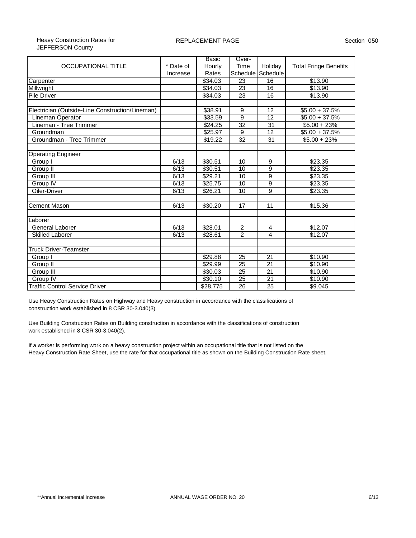#### Heavy Construction Rates for JEFFERSON County

|                                                 |           | Basic    | Over-             |                 |                              |
|-------------------------------------------------|-----------|----------|-------------------|-----------------|------------------------------|
| <b>OCCUPATIONAL TITLE</b>                       | * Date of | Hourly   | Time              | Holiday         | <b>Total Fringe Benefits</b> |
|                                                 | Increase  | Rates    | Schedule Schedule |                 |                              |
| Carpenter                                       |           | \$34.03  | 23                | 16              | \$13.90                      |
| Millwright                                      |           | \$34.03  | 23                | 16              | \$13.90                      |
| Pile Driver                                     |           | \$34.03  | 23                | 16              | \$13.90                      |
|                                                 |           |          |                   |                 |                              |
| Electrician (Outside-Line Construction\Lineman) |           | \$38.91  | 9                 | 12              | $$5.00 + 37.5\%$             |
| Lineman Operator                                |           | \$33.59  | 9                 | 12              | $$5.00 + 37.5%$              |
| Lineman - Tree Trimmer                          |           | \$24.25  | 32                | 31              | $$5.00 + 23%$                |
| Groundman                                       |           | \$25.97  | 9                 | 12              | $$5.00 + 37.5\%$             |
| Groundman - Tree Trimmer                        |           | \$19.22  | 32                | 31              | $$5.00 + 23\%$               |
|                                                 |           |          |                   |                 |                              |
| <b>Operating Engineer</b>                       |           |          |                   |                 |                              |
| Group I                                         | 6/13      | \$30.51  | 10                | 9               | \$23.35                      |
| Group II                                        | 6/13      | \$30.51  | 10                | 9               | \$23.35                      |
| Group III                                       | 6/13      | \$29.21  | 10                | $\overline{9}$  | \$23.35                      |
| Group IV                                        | 6/13      | \$25.75  | 10                | 9               | \$23.35                      |
| Oiler-Driver                                    | 6/13      | \$26.21  | 10                | 9               | \$23.35                      |
|                                                 |           |          |                   |                 |                              |
| <b>Cement Mason</b>                             | 6/13      | \$30.20  | 17                | 11              | \$15.36                      |
|                                                 |           |          |                   |                 |                              |
| Laborer                                         |           |          |                   |                 |                              |
| General Laborer                                 | 6/13      | \$28.01  | $\mathbf{2}$      | $\overline{4}$  | \$12.07                      |
| Skilled Laborer                                 | 6/13      | \$28.61  | $\overline{2}$    | 4               | \$12.07                      |
|                                                 |           |          |                   |                 |                              |
| <b>Truck Driver-Teamster</b>                    |           |          |                   |                 |                              |
| Group I                                         |           | \$29.88  | 25                | 21              | \$10.90                      |
| Group II                                        |           | \$29.99  | 25                | 21              | \$10.90                      |
| Group III                                       |           | \$30.03  | $\overline{25}$   | 21              | \$10.90                      |
| Group IV                                        |           | \$30.10  | $\overline{25}$   | $\overline{21}$ | \$10.90                      |
| <b>Traffic Control Service Driver</b>           |           | \$28.775 | 26                | 25              | \$9.045                      |

Use Heavy Construction Rates on Highway and Heavy construction in accordance with the classifications of construction work established in 8 CSR 30-3.040(3).

Use Building Construction Rates on Building construction in accordance with the classifications of construction work established in 8 CSR 30-3.040(2).

If a worker is performing work on a heavy construction project within an occupational title that is not listed on the Heavy Construction Rate Sheet, use the rate for that occupational title as shown on the Building Construction Rate sheet.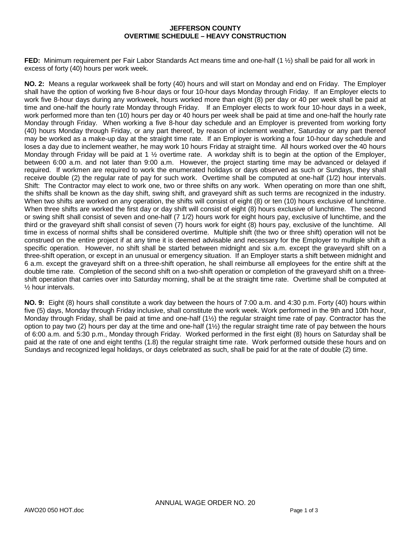#### **JEFFERSON COUNTY OVERTIME SCHEDULE – HEAVY CONSTRUCTION**

**FED:** Minimum requirement per Fair Labor Standards Act means time and one-half (1 ½) shall be paid for all work in excess of forty (40) hours per work week.

**NO. 2:** Means a regular workweek shall be forty (40) hours and will start on Monday and end on Friday. The Employer shall have the option of working five 8-hour days or four 10-hour days Monday through Friday. If an Employer elects to work five 8-hour days during any workweek, hours worked more than eight (8) per day or 40 per week shall be paid at time and one-half the hourly rate Monday through Friday. If an Employer elects to work four 10-hour days in a week, work performed more than ten (10) hours per day or 40 hours per week shall be paid at time and one-half the hourly rate Monday through Friday. When working a five 8-hour day schedule and an Employer is prevented from working forty (40) hours Monday through Friday, or any part thereof, by reason of inclement weather, Saturday or any part thereof may be worked as a make-up day at the straight time rate. If an Employer is working a four 10-hour day schedule and loses a day due to inclement weather, he may work 10 hours Friday at straight time. All hours worked over the 40 hours Monday through Friday will be paid at 1 ½ overtime rate. A workday shift is to begin at the option of the Employer, between 6:00 a.m. and not later than 9:00 a.m. However, the project starting time may be advanced or delayed if required. If workmen are required to work the enumerated holidays or days observed as such or Sundays, they shall receive double (2) the regular rate of pay for such work. Overtime shall be computed at one-half (1/2) hour intervals. Shift: The Contractor may elect to work one, two or three shifts on any work. When operating on more than one shift, the shifts shall be known as the day shift, swing shift, and graveyard shift as such terms are recognized in the industry. When two shifts are worked on any operation, the shifts will consist of eight (8) or ten (10) hours exclusive of lunchtime. When three shifts are worked the first day or day shift will consist of eight (8) hours exclusive of lunchtime. The second or swing shift shall consist of seven and one-half (7 1/2) hours work for eight hours pay, exclusive of lunchtime, and the third or the graveyard shift shall consist of seven (7) hours work for eight (8) hours pay, exclusive of the lunchtime. All time in excess of normal shifts shall be considered overtime. Multiple shift (the two or three shift) operation will not be construed on the entire project if at any time it is deemed advisable and necessary for the Employer to multiple shift a specific operation. However, no shift shall be started between midnight and six a.m. except the graveyard shift on a three-shift operation, or except in an unusual or emergency situation. If an Employer starts a shift between midnight and 6 a.m. except the graveyard shift on a three-shift operation, he shall reimburse all employees for the entire shift at the double time rate. Completion of the second shift on a two-shift operation or completion of the graveyard shift on a threeshift operation that carries over into Saturday morning, shall be at the straight time rate. Overtime shall be computed at ½ hour intervals.

**NO. 9:** Eight (8) hours shall constitute a work day between the hours of 7:00 a.m. and 4:30 p.m. Forty (40) hours within five (5) days, Monday through Friday inclusive, shall constitute the work week. Work performed in the 9th and 10th hour, Monday through Friday, shall be paid at time and one-half (1½) the regular straight time rate of pay. Contractor has the option to pay two (2) hours per day at the time and one-half (1½) the regular straight time rate of pay between the hours of 6:00 a.m. and 5:30 p.m., Monday through Friday. Worked performed in the first eight (8) hours on Saturday shall be paid at the rate of one and eight tenths (1.8) the regular straight time rate. Work performed outside these hours and on Sundays and recognized legal holidays, or days celebrated as such, shall be paid for at the rate of double (2) time.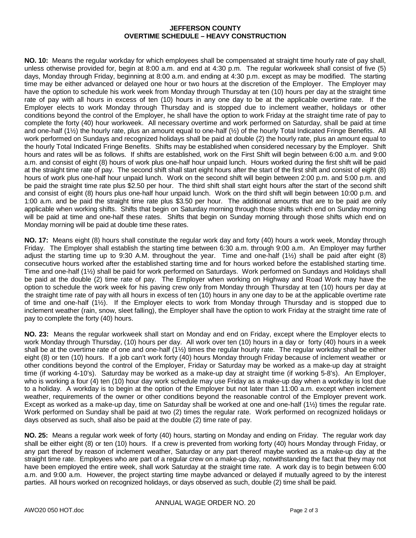#### **JEFFERSON COUNTY OVERTIME SCHEDULE – HEAVY CONSTRUCTION**

**NO. 10:** Means the regular workday for which employees shall be compensated at straight time hourly rate of pay shall, unless otherwise provided for, begin at 8:00 a.m. and end at 4:30 p.m. The regular workweek shall consist of five (5) days, Monday through Friday, beginning at 8:00 a.m. and ending at 4:30 p.m. except as may be modified. The starting time may be either advanced or delayed one hour or two hours at the discretion of the Employer. The Employer may have the option to schedule his work week from Monday through Thursday at ten (10) hours per day at the straight time rate of pay with all hours in excess of ten (10) hours in any one day to be at the applicable overtime rate. If the Employer elects to work Monday through Thursday and is stopped due to inclement weather, holidays or other conditions beyond the control of the Employer, he shall have the option to work Friday at the straight time rate of pay to complete the forty (40) hour workweek. All necessary overtime and work performed on Saturday, shall be paid at time and one-half  $(1/2)$  the hourly rate, plus an amount equal to one-half  $(1/2)$  of the hourly Total Indicated Fringe Benefits. All work performed on Sundays and recognized holidays shall be paid at double (2) the hourly rate, plus an amount equal to the hourly Total Indicated Fringe Benefits. Shifts may be established when considered necessary by the Employer. Shift hours and rates will be as follows. If shifts are established, work on the First Shift will begin between 6:00 a.m. and 9:00 a.m. and consist of eight (8) hours of work plus one-half hour unpaid lunch. Hours worked during the first shift will be paid at the straight time rate of pay. The second shift shall start eight hours after the start of the first shift and consist of eight (8) hours of work plus one-half hour unpaid lunch. Work on the second shift will begin between 2:00 p.m. and 5:00 p.m. and be paid the straight time rate plus \$2.50 per hour. The third shift shall start eight hours after the start of the second shift and consist of eight (8) hours plus one-half hour unpaid lunch. Work on the third shift will begin between 10:00 p.m. and 1:00 a.m. and be paid the straight time rate plus \$3.50 per hour. The additional amounts that are to be paid are only applicable when working shifts. Shifts that begin on Saturday morning through those shifts which end on Sunday morning will be paid at time and one-half these rates. Shifts that begin on Sunday morning through those shifts which end on Monday morning will be paid at double time these rates.

**NO. 17:** Means eight (8) hours shall constitute the regular work day and forty (40) hours a work week, Monday through Friday. The Employer shall establish the starting time between 6:30 a.m. through 9:00 a.m. An Employer may further adjust the starting time up to 9:30 A.M. throughout the year. Time and one-half (1½) shall be paid after eight (8) consecutive hours worked after the established starting time and for hours worked before the established starting time. Time and one-half (1½) shall be paid for work performed on Saturdays. Work performed on Sundays and Holidays shall be paid at the double (2) time rate of pay. The Employer when working on Highway and Road Work may have the option to schedule the work week for his paving crew only from Monday through Thursday at ten (10) hours per day at the straight time rate of pay with all hours in excess of ten (10) hours in any one day to be at the applicable overtime rate of time and one-half (1½). If the Employer elects to work from Monday through Thursday and is stopped due to inclement weather (rain, snow, sleet falling), the Employer shall have the option to work Friday at the straight time rate of pay to complete the forty (40) hours.

**NO. 23:** Means the regular workweek shall start on Monday and end on Friday, except where the Employer elects to work Monday through Thursday, (10) hours per day. All work over ten (10) hours in a day or forty (40) hours in a week shall be at the overtime rate of one and one-half (1½) times the regular hourly rate. The regular workday shall be either eight (8) or ten (10) hours. If a job can't work forty (40) hours Monday through Friday because of inclement weather or other conditions beyond the control of the Employer, Friday or Saturday may be worked as a make-up day at straight time (if working 4-10's). Saturday may be worked as a make-up day at straight time (if working 5-8's). An Employer, who is working a four (4) ten (10) hour day work schedule may use Friday as a make-up day when a workday is lost due to a holiday. A workday is to begin at the option of the Employer but not later than 11:00 a.m. except when inclement weather, requirements of the owner or other conditions beyond the reasonable control of the Employer prevent work. Except as worked as a make-up day, time on Saturday shall be worked at one and one-half (1½) times the regular rate. Work performed on Sunday shall be paid at two (2) times the regular rate. Work performed on recognized holidays or days observed as such, shall also be paid at the double (2) time rate of pay.

**NO. 25:** Means a regular work week of forty (40) hours, starting on Monday and ending on Friday. The regular work day shall be either eight (8) or ten (10) hours. If a crew is prevented from working forty (40) hours Monday through Friday, or any part thereof by reason of inclement weather, Saturday or any part thereof maybe worked as a make-up day at the straight time rate. Employees who are part of a regular crew on a make-up day, notwithstanding the fact that they may not have been employed the entire week, shall work Saturday at the straight time rate. A work day is to begin between 6:00 a.m. and 9:00 a.m. However, the project starting time maybe advanced or delayed if mutually agreed to by the interest parties. All hours worked on recognized holidays, or days observed as such, double (2) time shall be paid.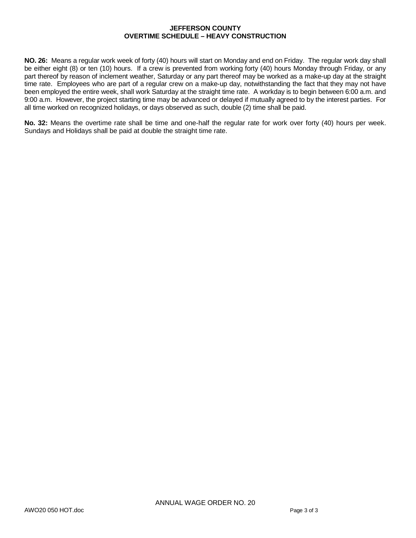#### **JEFFERSON COUNTY OVERTIME SCHEDULE – HEAVY CONSTRUCTION**

**NO. 26:** Means a regular work week of forty (40) hours will start on Monday and end on Friday. The regular work day shall be either eight (8) or ten (10) hours. If a crew is prevented from working forty (40) hours Monday through Friday, or any part thereof by reason of inclement weather, Saturday or any part thereof may be worked as a make-up day at the straight time rate. Employees who are part of a regular crew on a make-up day, notwithstanding the fact that they may not have been employed the entire week, shall work Saturday at the straight time rate. A workday is to begin between 6:00 a.m. and 9:00 a.m. However, the project starting time may be advanced or delayed if mutually agreed to by the interest parties. For all time worked on recognized holidays, or days observed as such, double (2) time shall be paid.

**No. 32:** Means the overtime rate shall be time and one-half the regular rate for work over forty (40) hours per week. Sundays and Holidays shall be paid at double the straight time rate.